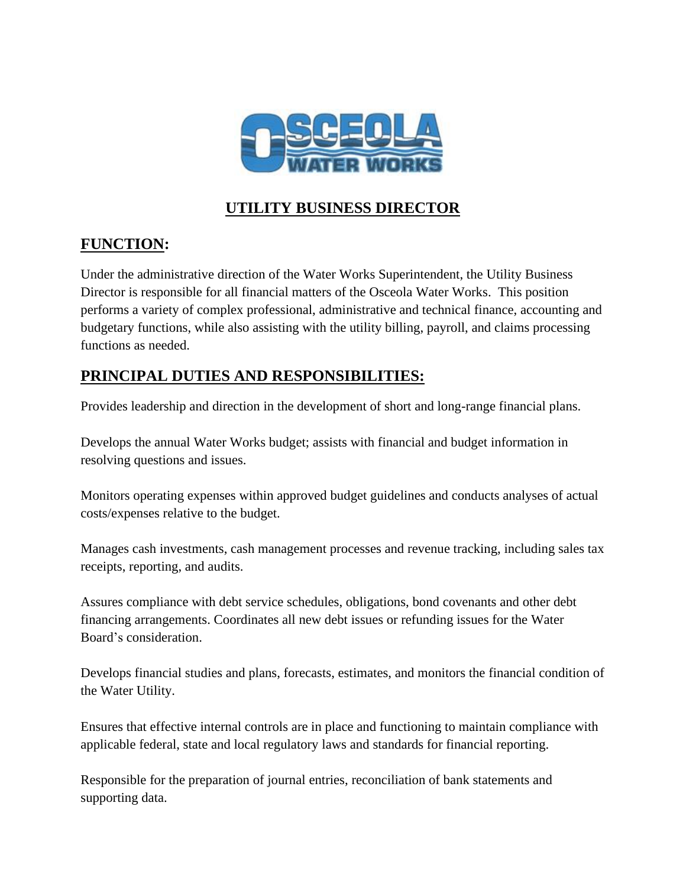

# **UTILITY BUSINESS DIRECTOR**

## **FUNCTION:**

Under the administrative direction of the Water Works Superintendent, the Utility Business Director is responsible for all financial matters of the Osceola Water Works. This position performs a variety of complex professional, administrative and technical finance, accounting and budgetary functions, while also assisting with the utility billing, payroll, and claims processing functions as needed.

## **PRINCIPAL DUTIES AND RESPONSIBILITIES:**

Provides leadership and direction in the development of short and long-range financial plans.

Develops the annual Water Works budget; assists with financial and budget information in resolving questions and issues.

Monitors operating expenses within approved budget guidelines and conducts analyses of actual costs/expenses relative to the budget.

Manages cash investments, cash management processes and revenue tracking, including sales tax receipts, reporting, and audits.

Assures compliance with debt service schedules, obligations, bond covenants and other debt financing arrangements. Coordinates all new debt issues or refunding issues for the Water Board's consideration.

Develops financial studies and plans, forecasts, estimates, and monitors the financial condition of the Water Utility.

Ensures that effective internal controls are in place and functioning to maintain compliance with applicable federal, state and local regulatory laws and standards for financial reporting.

Responsible for the preparation of journal entries, reconciliation of bank statements and supporting data.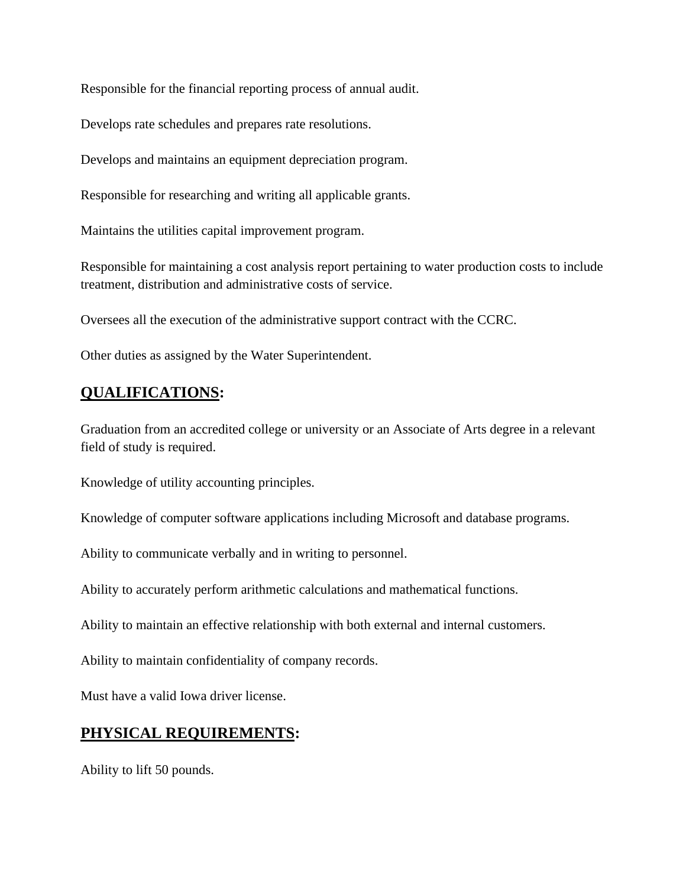Responsible for the financial reporting process of annual audit.

Develops rate schedules and prepares rate resolutions.

Develops and maintains an equipment depreciation program.

Responsible for researching and writing all applicable grants.

Maintains the utilities capital improvement program.

Responsible for maintaining a cost analysis report pertaining to water production costs to include treatment, distribution and administrative costs of service.

Oversees all the execution of the administrative support contract with the CCRC.

Other duties as assigned by the Water Superintendent.

### **QUALIFICATIONS:**

Graduation from an accredited college or university or an Associate of Arts degree in a relevant field of study is required.

Knowledge of utility accounting principles.

Knowledge of computer software applications including Microsoft and database programs.

Ability to communicate verbally and in writing to personnel.

Ability to accurately perform arithmetic calculations and mathematical functions.

Ability to maintain an effective relationship with both external and internal customers.

Ability to maintain confidentiality of company records.

Must have a valid Iowa driver license.

#### **PHYSICAL REQUIREMENTS:**

Ability to lift 50 pounds.